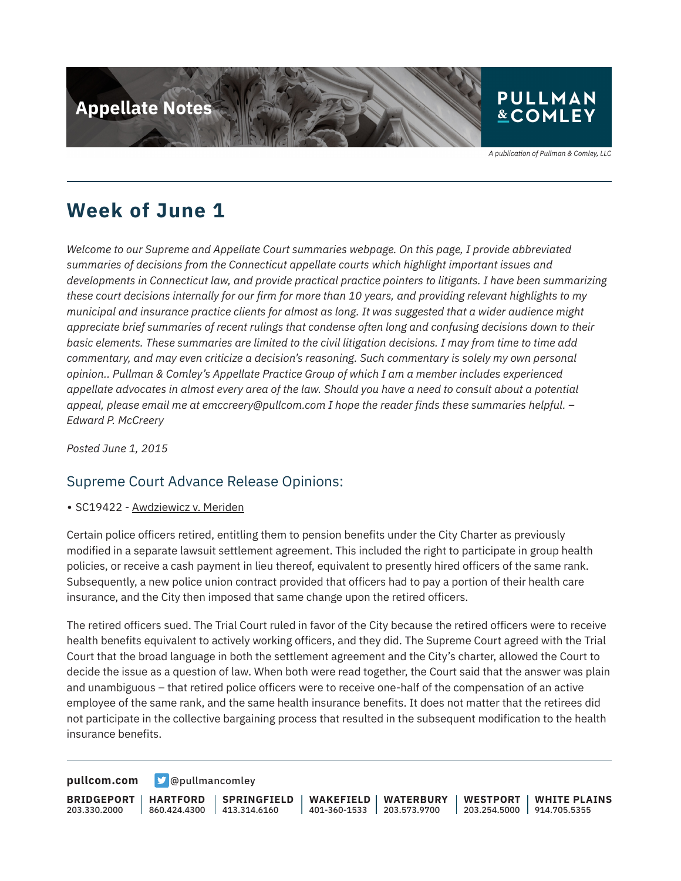

A publication of Pullman & Comley, LLC

## **Week of June 1**

*Welcome to our Supreme and Appellate Court summaries webpage. On this page, I provide abbreviated summaries of decisions from the Connecticut appellate courts which highlight important issues and developments in Connecticut law, and provide practical practice pointers to litigants. I have been summarizing these court decisions internally for our firm for more than 10 years, and providing relevant highlights to my municipal and insurance practice clients for almost as long. It was suggested that a wider audience might appreciate brief summaries of recent rulings that condense often long and confusing decisions down to their basic elements. These summaries are limited to the civil litigation decisions. I may from time to time add commentary, and may even criticize a decision's reasoning. Such commentary is solely my own personal opinion.. Pullman & Comley's Appellate Practice Group of which I am a member includes experienced appellate advocates in almost every area of the law. Should you have a need to consult about a potential appeal, please email me at emccreery@pullcom.com I hope the reader finds these summaries helpful. – Edward P. McCreery*

*Posted June 1, 2015*

### Supreme Court Advance Release Opinions:

• SC19422 - Awdziewicz v. Meriden

Certain police officers retired, entitling them to pension benefits under the City Charter as previously modified in a separate lawsuit settlement agreement. This included the right to participate in group health policies, or receive a cash payment in lieu thereof, equivalent to presently hired officers of the same rank. Subsequently, a new police union contract provided that officers had to pay a portion of their health care insurance, and the City then imposed that same change upon the retired officers.

The retired officers sued. The Trial Court ruled in favor of the City because the retired officers were to receive health benefits equivalent to actively working officers, and they did. The Supreme Court agreed with the Trial Court that the broad language in both the settlement agreement and the City's charter, allowed the Court to decide the issue as a question of law. When both were read together, the Court said that the answer was plain and unambiguous – that retired police officers were to receive one-half of the compensation of an active employee of the same rank, and the same health insurance benefits. It does not matter that the retirees did not participate in the collective bargaining process that resulted in the subsequent modification to the health insurance benefits.

**[pullcom.com](https://www.pullcom.com) g** [@pullmancomley](https://twitter.com/PullmanComley)

**BRIDGEPORT** 203.330.2000

**HARTFORD**

860.424.4300 413.314.6160 **SPRINGFIELD** **WAKEFIELD** 401-360-1533 203.573.9700 **WATERBURY**

**WESTPORT WHITE PLAINS** 203.254.5000 914.705.5355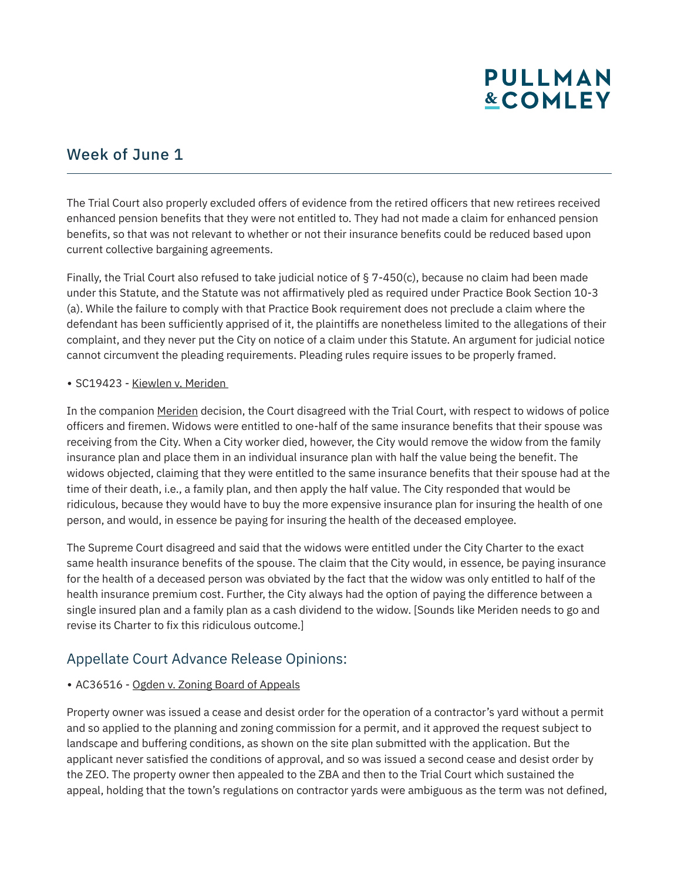# **PULLMAN &COMLEY**

### Week of June 1

The Trial Court also properly excluded offers of evidence from the retired officers that new retirees received enhanced pension benefits that they were not entitled to. They had not made a claim for enhanced pension benefits, so that was not relevant to whether or not their insurance benefits could be reduced based upon current collective bargaining agreements.

Finally, the Trial Court also refused to take judicial notice of § 7-450(c), because no claim had been made under this Statute, and the Statute was not affirmatively pled as required under Practice Book Section 10-3 (a). While the failure to comply with that Practice Book requirement does not preclude a claim where the defendant has been sufficiently apprised of it, the plaintiffs are nonetheless limited to the allegations of their complaint, and they never put the City on notice of a claim under this Statute. An argument for judicial notice cannot circumvent the pleading requirements. Pleading rules require issues to be properly framed.

#### • SC19423 - Kiewlen v. Meriden

In the companion Meriden decision, the Court disagreed with the Trial Court, with respect to widows of police officers and firemen. Widows were entitled to one-half of the same insurance benefits that their spouse was receiving from the City. When a City worker died, however, the City would remove the widow from the family insurance plan and place them in an individual insurance plan with half the value being the benefit. The widows objected, claiming that they were entitled to the same insurance benefits that their spouse had at the time of their death, i.e., a family plan, and then apply the half value. The City responded that would be ridiculous, because they would have to buy the more expensive insurance plan for insuring the health of one person, and would, in essence be paying for insuring the health of the deceased employee.

The Supreme Court disagreed and said that the widows were entitled under the City Charter to the exact same health insurance benefits of the spouse. The claim that the City would, in essence, be paying insurance for the health of a deceased person was obviated by the fact that the widow was only entitled to half of the health insurance premium cost. Further, the City always had the option of paying the difference between a single insured plan and a family plan as a cash dividend to the widow. [Sounds like Meriden needs to go and revise its Charter to fix this ridiculous outcome.]

### Appellate Court Advance Release Opinions:

#### • AC36516 - Ogden v. Zoning Board of Appeals

Property owner was issued a cease and desist order for the operation of a contractor's yard without a permit and so applied to the planning and zoning commission for a permit, and it approved the request subject to landscape and buffering conditions, as shown on the site plan submitted with the application. But the applicant never satisfied the conditions of approval, and so was issued a second cease and desist order by the ZEO. The property owner then appealed to the ZBA and then to the Trial Court which sustained the appeal, holding that the town's regulations on contractor yards were ambiguous as the term was not defined,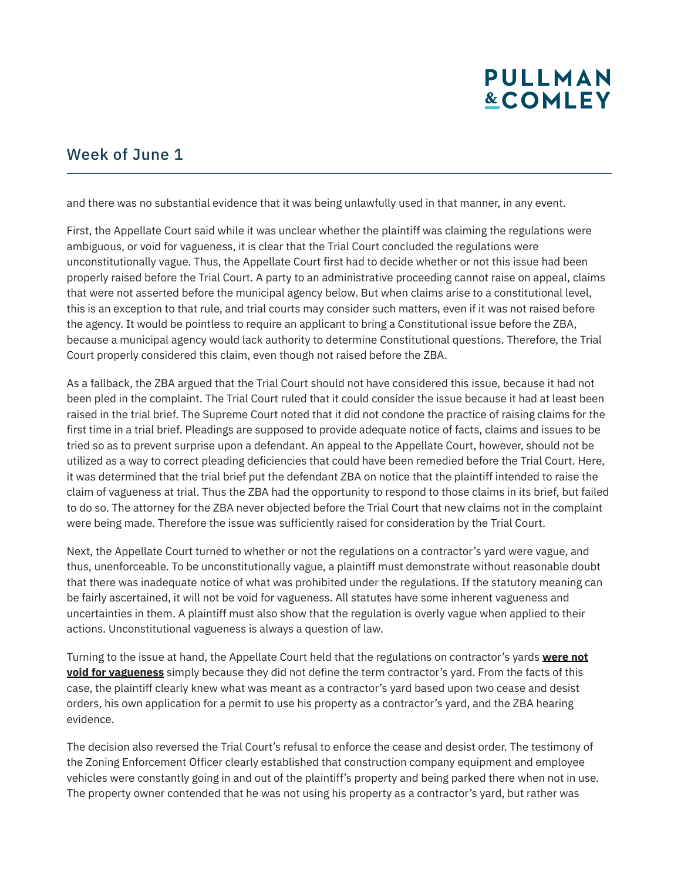# **PULLMAN &COMLEY**

## Week of June 1

and there was no substantial evidence that it was being unlawfully used in that manner, in any event.

First, the Appellate Court said while it was unclear whether the plaintiff was claiming the regulations were ambiguous, or void for vagueness, it is clear that the Trial Court concluded the regulations were unconstitutionally vague. Thus, the Appellate Court first had to decide whether or not this issue had been properly raised before the Trial Court. A party to an administrative proceeding cannot raise on appeal, claims that were not asserted before the municipal agency below. But when claims arise to a constitutional level, this is an exception to that rule, and trial courts may consider such matters, even if it was not raised before the agency. It would be pointless to require an applicant to bring a Constitutional issue before the ZBA, because a municipal agency would lack authority to determine Constitutional questions. Therefore, the Trial Court properly considered this claim, even though not raised before the ZBA.

As a fallback, the ZBA argued that the Trial Court should not have considered this issue, because it had not been pled in the complaint. The Trial Court ruled that it could consider the issue because it had at least been raised in the trial brief. The Supreme Court noted that it did not condone the practice of raising claims for the first time in a trial brief. Pleadings are supposed to provide adequate notice of facts, claims and issues to be tried so as to prevent surprise upon a defendant. An appeal to the Appellate Court, however, should not be utilized as a way to correct pleading deficiencies that could have been remedied before the Trial Court. Here, it was determined that the trial brief put the defendant ZBA on notice that the plaintiff intended to raise the claim of vagueness at trial. Thus the ZBA had the opportunity to respond to those claims in its brief, but failed to do so. The attorney for the ZBA never objected before the Trial Court that new claims not in the complaint were being made. Therefore the issue was sufficiently raised for consideration by the Trial Court.

Next, the Appellate Court turned to whether or not the regulations on a contractor's yard were vague, and thus, unenforceable. To be unconstitutionally vague, a plaintiff must demonstrate without reasonable doubt that there was inadequate notice of what was prohibited under the regulations. If the statutory meaning can be fairly ascertained, it will not be void for vagueness. All statutes have some inherent vagueness and uncertainties in them. A plaintiff must also show that the regulation is overly vague when applied to their actions. Unconstitutional vagueness is always a question of law.

Turning to the issue at hand, the Appellate Court held that the regulations on contractor's yards **were not void for vagueness** simply because they did not define the term contractor's yard. From the facts of this case, the plaintiff clearly knew what was meant as a contractor's yard based upon two cease and desist orders, his own application for a permit to use his property as a contractor's yard, and the ZBA hearing evidence.

The decision also reversed the Trial Court's refusal to enforce the cease and desist order. The testimony of the Zoning Enforcement Officer clearly established that construction company equipment and employee vehicles were constantly going in and out of the plaintiff's property and being parked there when not in use. The property owner contended that he was not using his property as a contractor's yard, but rather was